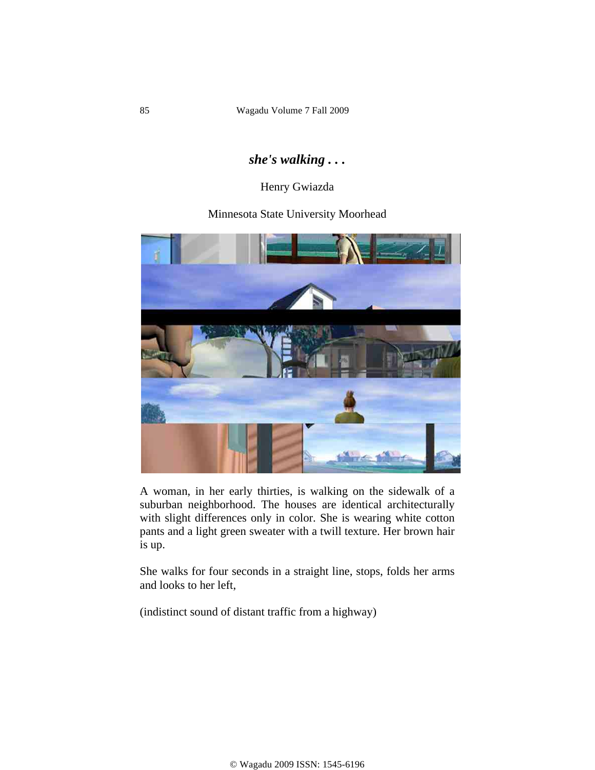## *she's walking . . .*

## Henry Gwiazda

## Minnesota State University Moorhead



A woman, in her early thirties, is walking on the sidewalk of a suburban neighborhood. The houses are identical architecturally with slight differences only in color. She is wearing white cotton pants and a light green sweater with a twill texture. Her brown hair is up.

She walks for four seconds in a straight line, stops, folds her arms and looks to her left,

(indistinct sound of distant traffic from a highway)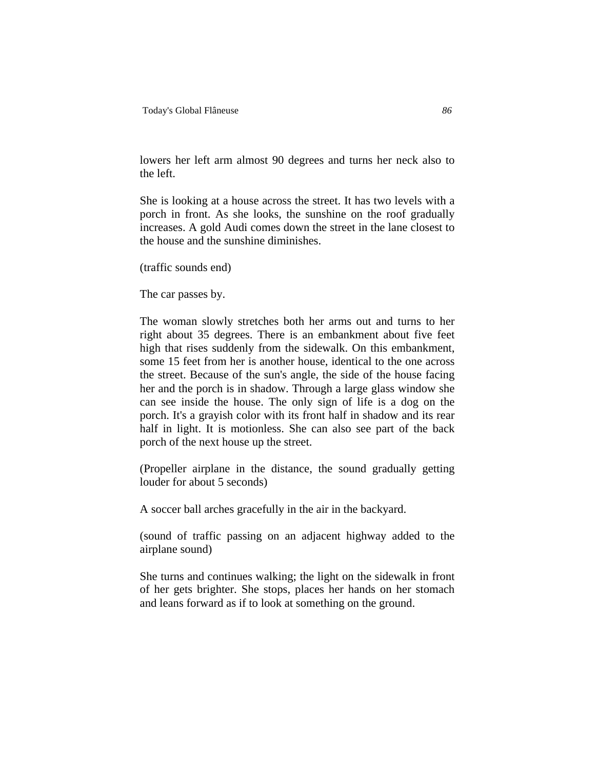lowers her left arm almost 90 degrees and turns her neck also to the left.

She is looking at a house across the street. It has two levels with a porch in front. As she looks, the sunshine on the roof gradually increases. A gold Audi comes down the street in the lane closest to the house and the sunshine diminishes.

(traffic sounds end)

The car passes by.

The woman slowly stretches both her arms out and turns to her right about 35 degrees. There is an embankment about five feet high that rises suddenly from the sidewalk. On this embankment, some 15 feet from her is another house, identical to the one across the street. Because of the sun's angle, the side of the house facing her and the porch is in shadow. Through a large glass window she can see inside the house. The only sign of life is a dog on the porch. It's a grayish color with its front half in shadow and its rear half in light. It is motionless. She can also see part of the back porch of the next house up the street.

(Propeller airplane in the distance, the sound gradually getting louder for about 5 seconds)

A soccer ball arches gracefully in the air in the backyard.

(sound of traffic passing on an adjacent highway added to the airplane sound)

She turns and continues walking; the light on the sidewalk in front of her gets brighter. She stops, places her hands on her stomach and leans forward as if to look at something on the ground.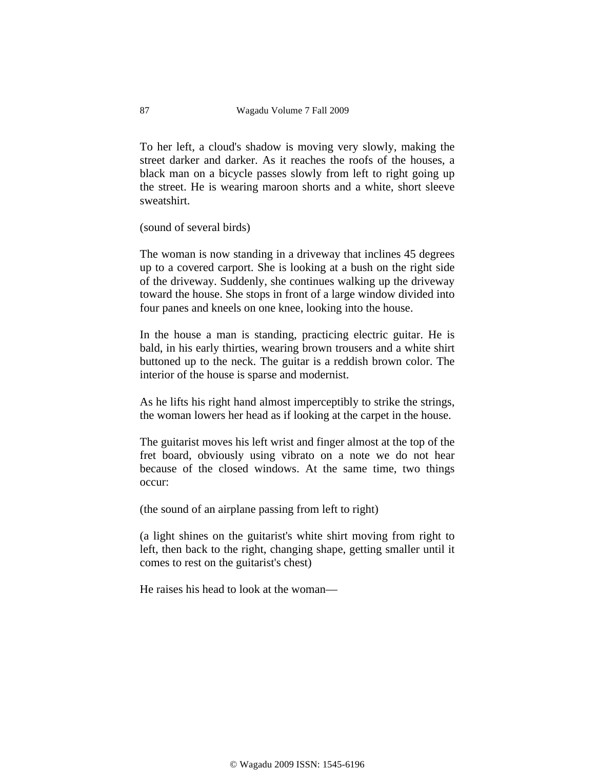To her left, a cloud's shadow is moving very slowly, making the street darker and darker. As it reaches the roofs of the houses, a black man on a bicycle passes slowly from left to right going up the street. He is wearing maroon shorts and a white, short sleeve sweatshirt.

(sound of several birds)

The woman is now standing in a driveway that inclines 45 degrees up to a covered carport. She is looking at a bush on the right side of the driveway. Suddenly, she continues walking up the driveway toward the house. She stops in front of a large window divided into four panes and kneels on one knee, looking into the house.

In the house a man is standing, practicing electric guitar. He is bald, in his early thirties, wearing brown trousers and a white shirt buttoned up to the neck. The guitar is a reddish brown color. The interior of the house is sparse and modernist.

As he lifts his right hand almost imperceptibly to strike the strings, the woman lowers her head as if looking at the carpet in the house.

The guitarist moves his left wrist and finger almost at the top of the fret board, obviously using vibrato on a note we do not hear because of the closed windows. At the same time, two things occur:

(the sound of an airplane passing from left to right)

(a light shines on the guitarist's white shirt moving from right to left, then back to the right, changing shape, getting smaller until it comes to rest on the guitarist's chest)

He raises his head to look at the woman—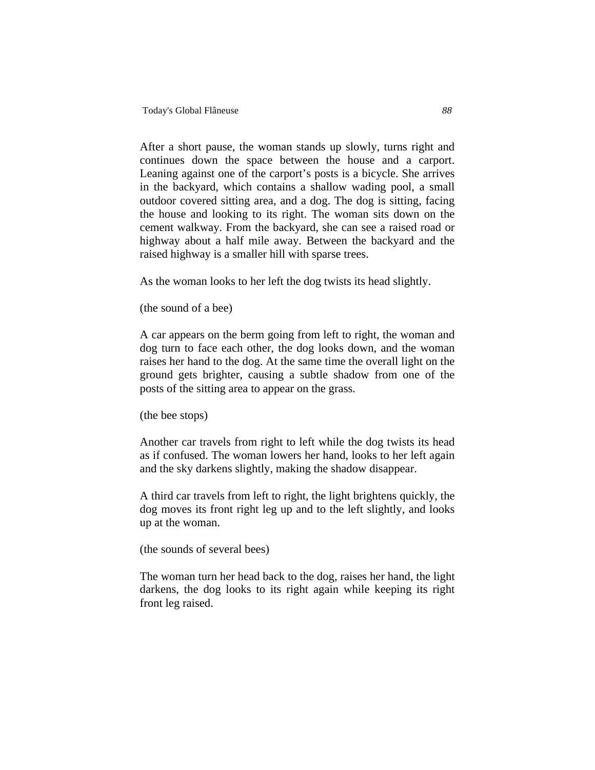After a short pause, the woman stands up slowly, turns right and continues down the space between the house and a carport. Leaning against one of the carport's posts is a bicycle. She arrives in the backyard, which contains a shallow wading pool, a small outdoor covered sitting area, and a dog. The dog is sitting, facing the house and looking to its right. The woman sits down on the cement walkway. From the backyard, she can see a raised road or highway about a half mile away. Between the backyard and the raised highway is a smaller hill with sparse trees.

As the woman looks to her left the dog twists its head slightly.

(the sound of a bee)

A car appears on the berm going from left to right, the woman and dog turn to face each other, the dog looks down, and the woman raises her hand to the dog. At the same time the overall light on the ground gets brighter, causing a subtle shadow from one of the posts of the sitting area to appear on the grass.

(the bee stops)

Another car travels from right to left while the dog twists its head as if confused. The woman lowers her hand, looks to her left again and the sky darkens slightly, making the shadow disappear.

A third car travels from left to right, the light brightens quickly, the dog moves its front right leg up and to the left slightly, and looks up at the woman.

(the sounds of several bees)

The woman turn her head back to the dog, raises her hand, the light darkens, the dog looks to its right again while keeping its right front leg raised.